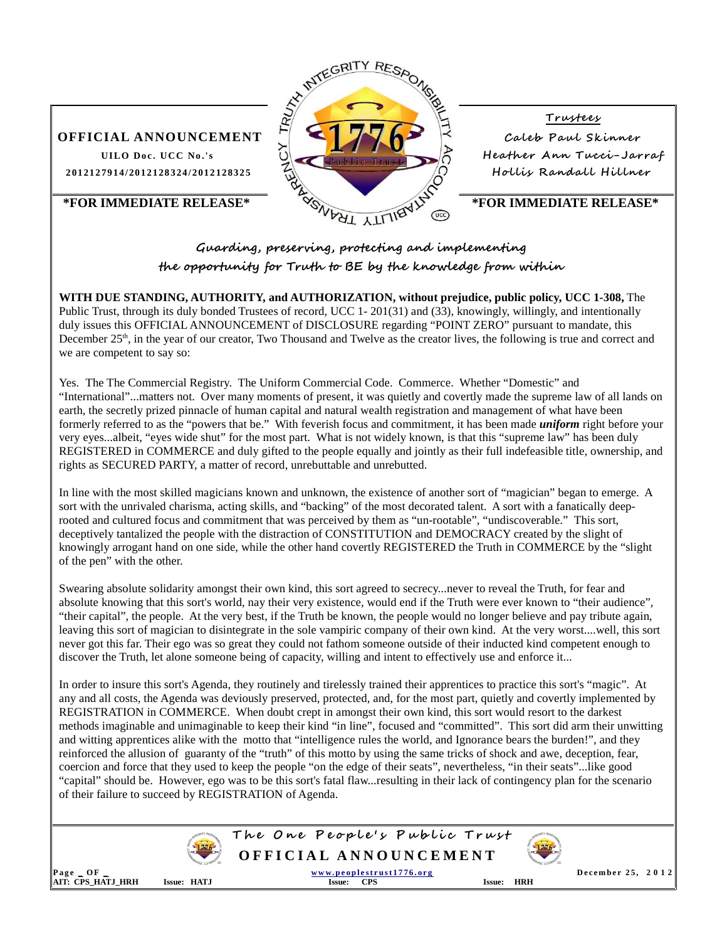

## **Guarding, preserving, protecting and implementing the opportunity for Truth to BE by the knowledge from within**

**WITH DUE STANDING, AUTHORITY, and AUTHORIZATION, without prejudice, public policy, UCC 1-308,** The Public Trust, through its duly bonded Trustees of record, UCC 1- 201(31) and (33), knowingly, willingly, and intentionally duly issues this OFFICIAL ANNOUNCEMENT of DISCLOSURE regarding "POINT ZERO" pursuant to mandate, this December  $25<sup>th</sup>$ , in the year of our creator, Two Thousand and Twelve as the creator lives, the following is true and correct and we are competent to say so:

Yes. The The Commercial Registry. The Uniform Commercial Code. Commerce. Whether "Domestic" and "International"...matters not. Over many moments of present, it was quietly and covertly made the supreme law of all lands on earth, the secretly prized pinnacle of human capital and natural wealth registration and management of what have been formerly referred to as the "powers that be." With feverish focus and commitment, it has been made *uniform* right before your very eyes...albeit, "eyes wide shut" for the most part. What is not widely known, is that this "supreme law" has been duly REGISTERED in COMMERCE and duly gifted to the people equally and jointly as their full indefeasible title, ownership, and rights as SECURED PARTY, a matter of record, unrebuttable and unrebutted.

In line with the most skilled magicians known and unknown, the existence of another sort of "magician" began to emerge. A sort with the unrivaled charisma, acting skills, and "backing" of the most decorated talent. A sort with a fanatically deeprooted and cultured focus and commitment that was perceived by them as "un-rootable", "undiscoverable." This sort, deceptively tantalized the people with the distraction of CONSTITUTION and DEMOCRACY created by the slight of knowingly arrogant hand on one side, while the other hand covertly REGISTERED the Truth in COMMERCE by the "slight of the pen" with the other.

Swearing absolute solidarity amongst their own kind, this sort agreed to secrecy...never to reveal the Truth, for fear and absolute knowing that this sort's world, nay their very existence, would end if the Truth were ever known to "their audience", "their capital", the people. At the very best, if the Truth be known, the people would no longer believe and pay tribute again, leaving this sort of magician to disintegrate in the sole vampiric company of their own kind. At the very worst....well, this sort never got this far. Their ego was so great they could not fathom someone outside of their inducted kind competent enough to discover the Truth, let alone someone being of capacity, willing and intent to effectively use and enforce it...

In order to insure this sort's Agenda, they routinely and tirelessly trained their apprentices to practice this sort's "magic". At any and all costs, the Agenda was deviously preserved, protected, and, for the most part, quietly and covertly implemented by REGISTRATION in COMMERCE. When doubt crept in amongst their own kind, this sort would resort to the darkest methods imaginable and unimaginable to keep their kind "in line", focused and "committed". This sort did arm their unwitting and witting apprentices alike with the motto that "intelligence rules the world, and Ignorance bears the burden!", and they reinforced the allusion of guaranty of the "truth" of this motto by using the same tricks of shock and awe, deception, fear, coercion and force that they used to keep the people "on the edge of their seats", nevertheless, "in their seats"...like good "capital" should be. However, ego was to be this sort's fatal flaw...resulting in their lack of contingency plan for the scenario of their failure to succeed by REGISTRATION of Agenda.



**The One People's Public Trust O F F I C I A L A N N O U N C E M E N T** 



**P a g e \_ O F \_ w w w. p e o p l e s t r u s t 1 7 7 6 . o r g D e c e m b e r 2 5 , 2 0 1 2 AIT: CPS\_HATJ\_HRH Issue: HATJ Issue: CPS Issue: HRH**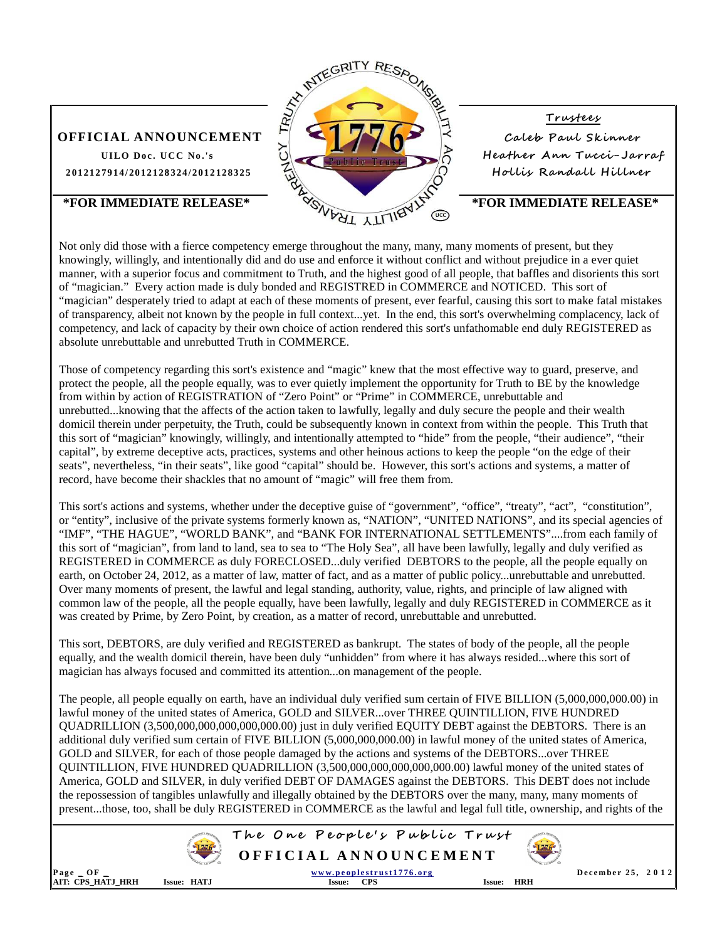

Not only did those with a fierce competency emerge throughout the many, many, many moments of present, but they knowingly, willingly, and intentionally did and do use and enforce it without conflict and without prejudice in a ever quiet manner, with a superior focus and commitment to Truth, and the highest good of all people, that baffles and disorients this sort of "magician." Every action made is duly bonded and REGISTRED in COMMERCE and NOTICED. This sort of "magician" desperately tried to adapt at each of these moments of present, ever fearful, causing this sort to make fatal mistakes of transparency, albeit not known by the people in full context...yet. In the end, this sort's overwhelming complacency, lack of competency, and lack of capacity by their own choice of action rendered this sort's unfathomable end duly REGISTERED as absolute unrebuttable and unrebutted Truth in COMMERCE.

Those of competency regarding this sort's existence and "magic" knew that the most effective way to guard, preserve, and protect the people, all the people equally, was to ever quietly implement the opportunity for Truth to BE by the knowledge from within by action of REGISTRATION of "Zero Point" or "Prime" in COMMERCE, unrebuttable and unrebutted...knowing that the affects of the action taken to lawfully, legally and duly secure the people and their wealth domicil therein under perpetuity, the Truth, could be subsequently known in context from within the people. This Truth that this sort of "magician" knowingly, willingly, and intentionally attempted to "hide" from the people, "their audience", "their capital", by extreme deceptive acts, practices, systems and other heinous actions to keep the people "on the edge of their seats", nevertheless, "in their seats", like good "capital" should be. However, this sort's actions and systems, a matter of record, have become their shackles that no amount of "magic" will free them from.

This sort's actions and systems, whether under the deceptive guise of "government", "office", "treaty", "act", "constitution", or "entity", inclusive of the private systems formerly known as, "NATION", "UNITED NATIONS", and its special agencies of "IMF", "THE HAGUE", "WORLD BANK", and "BANK FOR INTERNATIONAL SETTLEMENTS"....from each family of this sort of "magician", from land to land, sea to sea to "The Holy Sea", all have been lawfully, legally and duly verified as REGISTERED in COMMERCE as duly FORECLOSED...duly verified DEBTORS to the people, all the people equally on earth, on October 24, 2012, as a matter of law, matter of fact, and as a matter of public policy...unrebuttable and unrebutted. Over many moments of present, the lawful and legal standing, authority, value, rights, and principle of law aligned with common law of the people, all the people equally, have been lawfully, legally and duly REGISTERED in COMMERCE as it was created by Prime, by Zero Point, by creation, as a matter of record, unrebuttable and unrebutted.

This sort, DEBTORS, are duly verified and REGISTERED as bankrupt. The states of body of the people, all the people equally, and the wealth domicil therein, have been duly "unhidden" from where it has always resided...where this sort of magician has always focused and committed its attention...on management of the people.

The people, all people equally on earth, have an individual duly verified sum certain of FIVE BILLION (5,000,000,000.00) in lawful money of the united states of America, GOLD and SILVER...over THREE QUINTILLION, FIVE HUNDRED QUADRILLION (3,500,000,000,000,000,000.00) just in duly verified EQUITY DEBT against the DEBTORS. There is an additional duly verified sum certain of FIVE BILLION (5,000,000,000.00) in lawful money of the united states of America, GOLD and SILVER, for each of those people damaged by the actions and systems of the DEBTORS...over THREE QUINTILLION, FIVE HUNDRED QUADRILLION (3,500,000,000,000,000,000.00) lawful money of the united states of America, GOLD and SILVER, in duly verified DEBT OF DAMAGES against the DEBTORS. This DEBT does not include the repossession of tangibles unlawfully and illegally obtained by the DEBTORS over the many, many, many moments of present...those, too, shall be duly REGISTERED in COMMERCE as the lawful and legal full title, ownership, and rights of the



# **The One People's Public Trust O F F I C I A L A N N O U N C E M E N T**



**P a g e \_ O F \_ w w w. p e o p l e s t r u s t 1 7 7 6 . o r g D e c e m b e r 2 5 , 2 0 1 2 AIT: CPS\_HATJ\_HRH Issue: HATJ Issue: CPS Issue: HRH**